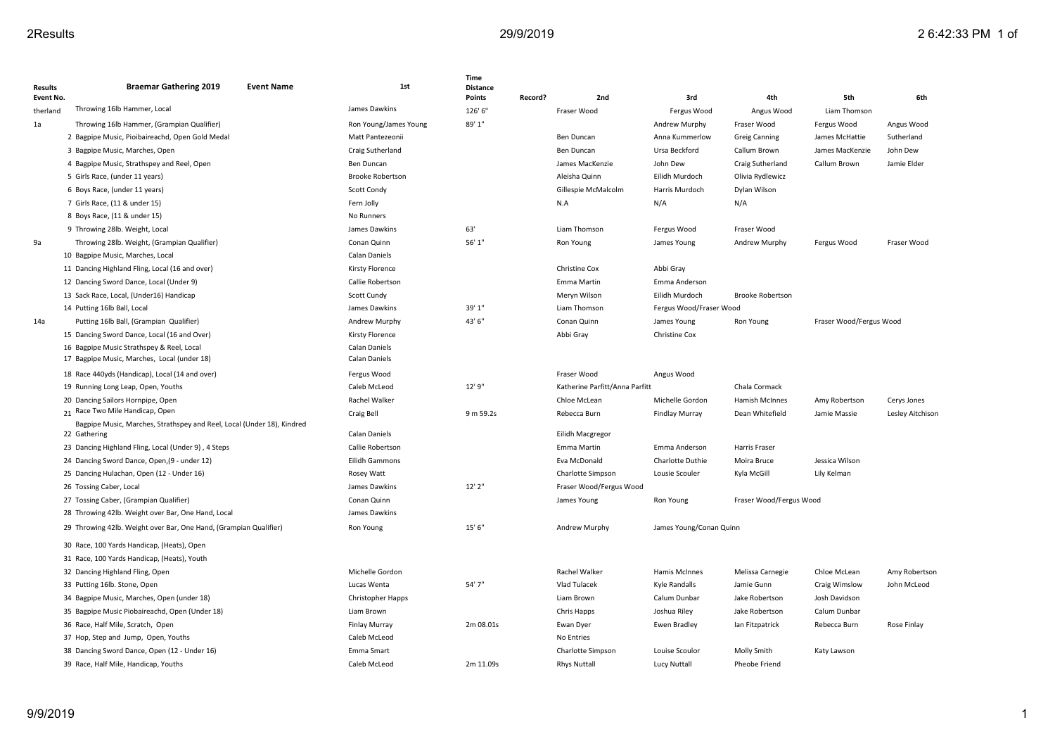| Results<br>Event No. | <b>Braemar Gathering 2019</b><br><b>Event Name</b>                                     | 1st                     | Time<br><b>Distance</b><br>Points | Record? | 2nd                            | 3rd                     | 4th                     | 5th                     | 6th              |
|----------------------|----------------------------------------------------------------------------------------|-------------------------|-----------------------------------|---------|--------------------------------|-------------------------|-------------------------|-------------------------|------------------|
| therland             | Throwing 16lb Hammer, Local                                                            | James Dawkins           | 126'6"                            |         | Fraser Wood                    | Fergus Wood             | Angus Wood              | Liam Thomson            |                  |
| 1a                   | Throwing 16lb Hammer, (Grampian Qualifier)                                             | Ron Young/James Young   | 89' 1"                            |         |                                | Andrew Murphy           | Fraser Wood             | Fergus Wood             | Angus Wood       |
|                      | 2 Bagpipe Music, Pioibaireachd, Open Gold Medal                                        | Matt Pantezeonii        |                                   |         | Ben Duncan                     | Anna Kummerlow          | Greig Canning           | James McHattie          | Sutherland       |
|                      | 3 Bagpipe Music, Marches, Open                                                         | Craig Sutherland        |                                   |         | Ben Duncan                     | Ursa Beckford           | Callum Brown            | James MacKenzie         | John Dew         |
|                      | 4 Bagpipe Music, Strathspey and Reel, Open                                             | Ben Duncan              |                                   |         | James MacKenzie                | John Dew                | Craig Sutherland        | Callum Brown            | Jamie Elder      |
|                      | 5 Girls Race, (under 11 years)                                                         | <b>Brooke Robertson</b> |                                   |         | Aleisha Quinn                  | Eilidh Murdoch          | Olivia Rydlewicz        |                         |                  |
|                      | 6 Boys Race, (under 11 years)                                                          | Scott Condy             |                                   |         | Gillespie McMalcolm            | Harris Murdoch          | Dylan Wilson            |                         |                  |
|                      | 7 Girls Race, (11 & under 15)                                                          | Fern Jolly              |                                   |         | N.A                            | N/A                     | N/A                     |                         |                  |
|                      | 8 Boys Race, (11 & under 15)                                                           | No Runners              |                                   |         |                                |                         |                         |                         |                  |
|                      | 9 Throwing 28lb. Weight, Local                                                         | James Dawkins           | 63'                               |         | Liam Thomson                   | Fergus Wood             | Fraser Wood             |                         |                  |
| 9а                   | Throwing 28lb. Weight, (Grampian Qualifier)                                            | Conan Quinn             | 56' 1"                            |         | Ron Young                      | James Young             | Andrew Murphy           | Fergus Wood             | Fraser Wood      |
|                      | 10 Bagpipe Music, Marches, Local                                                       | Calan Daniels           |                                   |         |                                |                         |                         |                         |                  |
|                      | 11 Dancing Highland Fling, Local (16 and over)                                         | Kirsty Florence         |                                   |         | <b>Christine Cox</b>           | Abbi Gray               |                         |                         |                  |
|                      | 12 Dancing Sword Dance, Local (Under 9)                                                | Callie Robertson        |                                   |         | Emma Martin                    | Emma Anderson           |                         |                         |                  |
|                      | 13 Sack Race, Local, (Under16) Handicap                                                | Scott Cundy             |                                   |         | Meryn Wilson                   | Eilidh Murdoch          | <b>Brooke Robertson</b> |                         |                  |
|                      | 14 Putting 16lb Ball, Local                                                            | James Dawkins           | 39' 1"                            |         | Liam Thomson                   | Fergus Wood/Fraser Wood |                         |                         |                  |
| 14a                  | Putting 16lb Ball, (Grampian Qualifier)                                                | Andrew Murphy           | 43' 6"                            |         | Conan Quinn                    | James Young             | Ron Young               | Fraser Wood/Fergus Wood |                  |
|                      | 15 Dancing Sword Dance, Local (16 and Over)                                            | Kirsty Florence         |                                   |         | Abbi Gray                      | <b>Christine Cox</b>    |                         |                         |                  |
|                      | 16 Bagpipe Music Strathspey & Reel, Local                                              | Calan Daniels           |                                   |         |                                |                         |                         |                         |                  |
|                      | 17 Bagpipe Music, Marches, Local (under 18)                                            | <b>Calan Daniels</b>    |                                   |         |                                |                         |                         |                         |                  |
|                      | 18 Race 440yds (Handicap), Local (14 and over)                                         | Fergus Wood             |                                   |         | Fraser Wood                    | Angus Wood              |                         |                         |                  |
|                      | 19 Running Long Leap, Open, Youths                                                     | Caleb McLeod            | 12' 9"                            |         | Katherine Parfitt/Anna Parfitt |                         | Chala Cormack           |                         |                  |
|                      | 20 Dancing Sailors Hornpipe, Open                                                      | Rachel Walker           |                                   |         | Chloe McLean                   | Michelle Gordon         | <b>Hamish McInnes</b>   | Amy Robertson           | Cerys Jones      |
|                      | 21 Race Two Mile Handicap, Open                                                        | Craig Bell              | 9 m 59.2s                         |         | Rebecca Burn                   | <b>Findlay Murray</b>   | Dean Whitefield         | Jamie Massie            | Lesley Aitchison |
|                      | Bagpipe Music, Marches, Strathspey and Reel, Local (Under 18), Kindred<br>22 Gathering | Calan Daniels           |                                   |         | Eilidh Macgregor               |                         |                         |                         |                  |
|                      | 23 Dancing Highland Fling, Local (Under 9), 4 Steps                                    | Callie Robertson        |                                   |         | Emma Martin                    | Emma Anderson           | Harris Fraser           |                         |                  |
|                      | 24 Dancing Sword Dance, Open, (9 - under 12)                                           | <b>Eilidh Gammons</b>   |                                   |         | Eva McDonald                   | Charlotte Duthie        | Moira Bruce             | Jessica Wilson          |                  |
|                      | 25 Dancing Hulachan, Open (12 - Under 16)                                              | Rosey Watt              |                                   |         | Charlotte Simpson              | Lousie Scouler          | Kyla McGill             | Lily Kelman             |                  |
|                      | 26 Tossing Caber, Local                                                                | James Dawkins           | $12'$ $2''$                       |         | Fraser Wood/Fergus Wood        |                         |                         |                         |                  |
|                      | 27 Tossing Caber, (Grampian Qualifier)                                                 | Conan Quinn             |                                   |         | James Young                    | Ron Young               | Fraser Wood/Fergus Wood |                         |                  |
|                      | 28 Throwing 42lb. Weight over Bar, One Hand, Local                                     | James Dawkins           |                                   |         |                                |                         |                         |                         |                  |
|                      | 29 Throwing 42lb. Weight over Bar, One Hand, (Grampian Qualifier)                      | Ron Young               | 15' 6"                            |         | Andrew Murphy                  | James Young/Conan Quinn |                         |                         |                  |
|                      | 30 Race, 100 Yards Handicap, (Heats), Open                                             |                         |                                   |         |                                |                         |                         |                         |                  |
|                      | 31 Race, 100 Yards Handicap, (Heats), Youth                                            |                         |                                   |         |                                |                         |                         |                         |                  |
|                      | 32 Dancing Highland Fling, Open                                                        | Michelle Gordon         |                                   |         | Rachel Walker                  | Hamis McInnes           | Melissa Carnegie        | Chloe McLean            | Amy Robertson    |
|                      | 33 Putting 16lb. Stone, Open                                                           | Lucas Wenta             | 54' 7"                            |         | Vlad Tulacek                   | Kyle Randalls           | Jamie Gunn              | Craig Wimslow           | John McLeod      |
|                      | 34 Bagpipe Music, Marches, Open (under 18)                                             | Christopher Happs       |                                   |         | Liam Brown                     | Calum Dunbar            | Jake Robertson          | Josh Davidson           |                  |
|                      | 35 Bagpipe Music Piobaireachd, Open (Under 18)                                         | Liam Brown              |                                   |         | Chris Happs                    | Joshua Riley            | Jake Robertson          | Calum Dunbar            |                  |
|                      | 36 Race, Half Mile, Scratch, Open                                                      | <b>Finlay Murray</b>    | 2m 08.01s                         |         | Ewan Dyer                      | <b>Ewen Bradley</b>     | Ian Fitzpatrick         | Rebecca Burn            | Rose Finlay      |
|                      | 37 Hop, Step and Jump, Open, Youths                                                    | Caleb McLeod            |                                   |         | No Entries                     |                         |                         |                         |                  |
|                      | 38 Dancing Sword Dance, Open (12 - Under 16)                                           | Emma Smart              |                                   |         | Charlotte Simpson              | Louise Scoulor          | Molly Smith             | Katy Lawson             |                  |
|                      | 39 Race, Half Mile, Handicap, Youths                                                   | Caleb McLeod            | 2m 11.09s                         |         | <b>Rhys Nuttall</b>            | <b>Lucy Nuttall</b>     | Pheobe Friend           |                         |                  |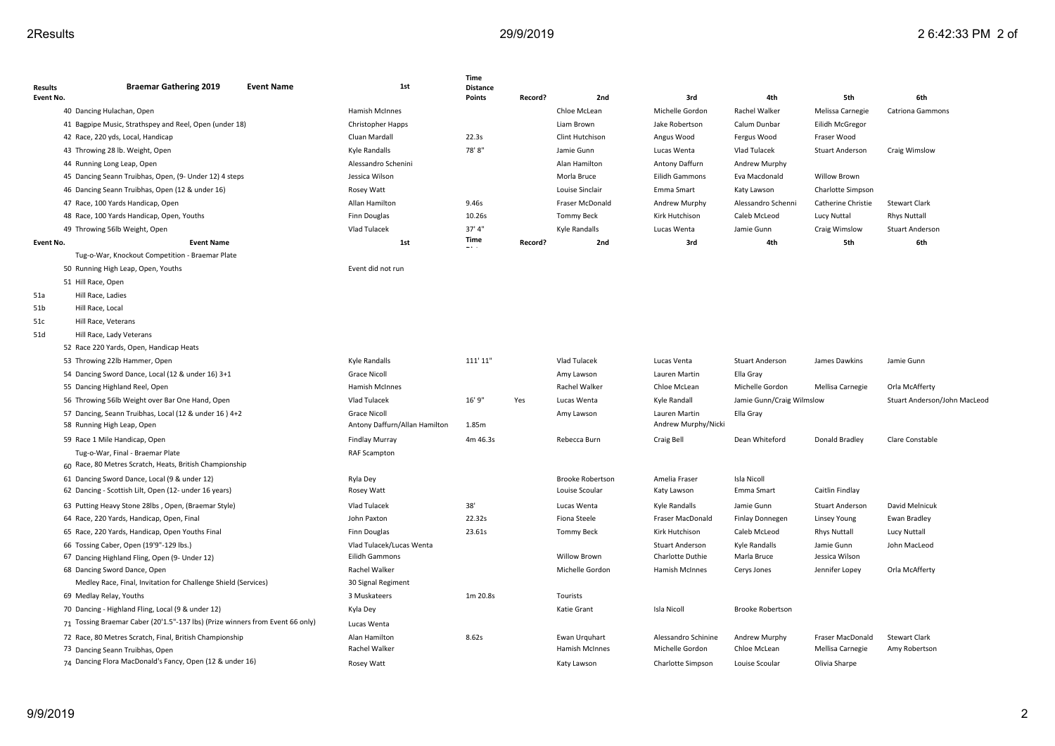| Results<br>Event No. | <b>Braemar Gathering 2019</b>                                                               | <b>Event Name</b> | 1st                           | <b>Time</b><br><b>Distance</b><br>Points | Record? | 2nd                     | 3rd                      | 4th                       | 5th                    | 6th                          |
|----------------------|---------------------------------------------------------------------------------------------|-------------------|-------------------------------|------------------------------------------|---------|-------------------------|--------------------------|---------------------------|------------------------|------------------------------|
|                      | 40 Dancing Hulachan, Open                                                                   |                   | Hamish McInnes                |                                          |         | Chloe McLean            | Michelle Gordon          | Rachel Walker             | Melissa Carnegie       | Catriona Gammons             |
|                      | 41 Bagpipe Music, Strathspey and Reel, Open (under 18)                                      |                   | <b>Christopher Happs</b>      |                                          |         | Liam Brown              | Jake Robertson           | Calum Dunbar              | Eilidh McGregor        |                              |
|                      | 42 Race, 220 yds, Local, Handicap                                                           |                   | Cluan Mardall                 | 22.3s                                    |         | Clint Hutchison         | Angus Wood               | Fergus Wood               | Fraser Wood            |                              |
|                      | 43 Throwing 28 lb. Weight, Open                                                             |                   | Kyle Randalls                 | 78'8"                                    |         | Jamie Gunn              | Lucas Wenta              | Vlad Tulacek              | <b>Stuart Anderson</b> | Craig Wimslow                |
|                      | 44 Running Long Leap, Open                                                                  |                   | Alessandro Schenini           |                                          |         | Alan Hamilton           | Antony Daffurn           | Andrew Murphy             |                        |                              |
|                      | 45 Dancing Seann Truibhas, Open, (9- Under 12) 4 steps                                      |                   | Jessica Wilson                |                                          |         | Morla Bruce             | Eilidh Gammons           | Eva Macdonald             | Willow Brown           |                              |
|                      | 46 Dancing Seann Truibhas, Open (12 & under 16)                                             |                   | Rosey Watt                    |                                          |         | Louise Sinclair         | Emma Smart               | Katy Lawson               | Charlotte Simpson      |                              |
|                      | 47 Race, 100 Yards Handicap, Open                                                           |                   | Allan Hamilton                | 9.46s                                    |         | Fraser McDonald         | Andrew Murphy            | Alessandro Schenni        | Catherine Christie     | <b>Stewart Clark</b>         |
|                      | 48 Race, 100 Yards Handicap, Open, Youths                                                   |                   | Finn Douglas                  | 10.26s                                   |         | <b>Tommy Beck</b>       | Kirk Hutchison           | Caleb McLeod              | Lucy Nuttal            | <b>Rhys Nuttall</b>          |
|                      | 49 Throwing 56lb Weight, Open                                                               |                   | Vlad Tulacek                  | 37' 4"                                   |         | Kyle Randalls           | Lucas Wenta              | Jamie Gunn                | Craig Wimslow          | <b>Stuart Anderson</b>       |
| Event No.            | <b>Event Name</b>                                                                           |                   | 1st                           | Time                                     | Record? | 2nd                     | 3rd                      | 4th                       | 5th                    | 6th                          |
|                      | Tug-o-War, Knockout Competition - Braemar Plate                                             |                   |                               |                                          |         |                         |                          |                           |                        |                              |
|                      | 50 Running High Leap, Open, Youths                                                          |                   | Event did not run             |                                          |         |                         |                          |                           |                        |                              |
|                      | 51 Hill Race, Open                                                                          |                   |                               |                                          |         |                         |                          |                           |                        |                              |
| 51a                  | Hill Race, Ladies                                                                           |                   |                               |                                          |         |                         |                          |                           |                        |                              |
| 51b                  | Hill Race, Local                                                                            |                   |                               |                                          |         |                         |                          |                           |                        |                              |
| 51с                  | Hill Race, Veterans                                                                         |                   |                               |                                          |         |                         |                          |                           |                        |                              |
| 51d                  | Hill Race, Lady Veterans                                                                    |                   |                               |                                          |         |                         |                          |                           |                        |                              |
|                      | 52 Race 220 Yards, Open, Handicap Heats                                                     |                   |                               |                                          |         |                         |                          |                           |                        |                              |
|                      | 53 Throwing 22lb Hammer, Open                                                               |                   | Kyle Randalls                 | 111' 11"                                 |         | Vlad Tulacek            | Lucas Venta              | <b>Stuart Anderson</b>    | James Dawkins          | Jamie Gunn                   |
|                      | 54 Dancing Sword Dance, Local (12 & under 16) 3+1                                           |                   | <b>Grace Nicoll</b>           |                                          |         | Amy Lawson              | Lauren Martin            | Ella Gray                 |                        |                              |
|                      | 55 Dancing Highland Reel, Open                                                              |                   | Hamish McInnes                |                                          |         | Rachel Walker           | Chloe McLean             | Michelle Gordon           | Mellisa Carnegie       | Orla McAfferty               |
|                      | 56 Throwing 56lb Weight over Bar One Hand, Open                                             |                   | Vlad Tulacek                  | 16' 9"                                   | Yes     | Lucas Wenta             | Kyle Randall             | Jamie Gunn/Craig Wilmslow |                        | Stuart Anderson/John MacLeod |
|                      | 57 Dancing, Seann Truibhas, Local (12 & under 16 ) 4+2                                      |                   | <b>Grace Nicoll</b>           |                                          |         | Amy Lawson              | Lauren Martin            | Ella Gray                 |                        |                              |
|                      | 58 Running High Leap, Open                                                                  |                   | Antony Daffurn/Allan Hamilton | 1.85m                                    |         |                         | Andrew Murphy/Nicki      |                           |                        |                              |
|                      | 59 Race 1 Mile Handicap, Open                                                               |                   | <b>Findlay Murray</b>         | 4m 46.3s                                 |         | Rebecca Burn            | Craig Bell               | Dean Whiteford            | Donald Bradley         | Clare Constable              |
|                      | Tug-o-War, Final - Braemar Plate<br>60 Race, 80 Metres Scratch, Heats, British Championship |                   | <b>RAF Scampton</b>           |                                          |         |                         |                          |                           |                        |                              |
|                      | 61 Dancing Sword Dance, Local (9 & under 12)                                                |                   | Ryla Dey                      |                                          |         | <b>Brooke Robertson</b> | Amelia Fraser            | Isla Nicoll               |                        |                              |
|                      | 62 Dancing - Scottish Lilt, Open (12- under 16 years)                                       |                   | Rosey Watt                    |                                          |         | Louise Scoular          | Katy Lawson              | Emma Smart                | Caitlin Findlay        |                              |
|                      | 63 Putting Heavy Stone 28lbs, Open, (Braemar Style)                                         |                   | Vlad Tulacek                  | 38'                                      |         | Lucas Wenta             | Kyle Randalls            | Jamie Gunn                | <b>Stuart Anderson</b> | David Melnicuk               |
|                      | 64 Race, 220 Yards, Handicap, Open, Final                                                   |                   | John Paxton                   | 22.32s                                   |         | Fiona Steele            | Fraser MacDonald         | Finlay Donnegen           | Linsey Young           | Ewan Bradley                 |
|                      | 65 Race, 220 Yards, Handicap, Open Youths Final                                             |                   | Finn Douglas                  | 23.61s                                   |         | <b>Tommy Beck</b>       | Kirk Hutchison           | Caleb McLeod              | <b>Rhys Nuttall</b>    | Lucy Nuttall                 |
|                      | 66 Tossing Caber, Open (19'9"-129 lbs.)                                                     |                   | Vlad Tulacek/Lucas Wenta      |                                          |         |                         | <b>Stuart Anderson</b>   | Kyle Randalls             | Jamie Gunn             | John MacLeod                 |
|                      | <sup>67</sup> Dancing Highland Fling, Open (9- Under 12)                                    |                   | Eilidh Gammons                |                                          |         | <b>Willow Brown</b>     | Charlotte Duthie         | Marla Bruce               | Jessica Wilson         |                              |
|                      | 68 Dancing Sword Dance, Open                                                                |                   | Rachel Walker                 |                                          |         | Michelle Gordon         | Hamish McInnes           | Cerys Jones               | Jennifer Lopey         | Orla McAfferty               |
|                      | Medley Race, Final, Invitation for Challenge Shield (Services)                              |                   | 30 Signal Regiment            |                                          |         |                         |                          |                           |                        |                              |
|                      | 69 Medlay Relay, Youths                                                                     |                   | 3 Muskateers                  | 1m 20.8s                                 |         | Tourists                |                          |                           |                        |                              |
|                      | 70 Dancing - Highland Fling, Local (9 & under 12)                                           |                   | Kyla Dey                      |                                          |         | Katie Grant             | Isla Nicoll              | <b>Brooke Robertson</b>   |                        |                              |
|                      | 71 Tossing Braemar Caber (20'1.5"-137 lbs) (Prize winners from Event 66 only)               |                   | Lucas Wenta                   |                                          |         |                         |                          |                           |                        |                              |
|                      | 72 Race, 80 Metres Scratch, Final, British Championship                                     |                   | Alan Hamilton                 | 8.62s                                    |         | Ewan Urguhart           | Alessandro Schinine      | Andrew Murphy             | Fraser MacDonald       | <b>Stewart Clark</b>         |
|                      | 73 Dancing Seann Truibhas, Open                                                             |                   | Rachel Walker                 |                                          |         | Hamish McInnes          | Michelle Gordon          | Chloe McLean              | Mellisa Carnegie       | Amy Robertson                |
|                      | 74 Dancing Flora MacDonald's Fancy, Open (12 & under 16)                                    |                   | Rosey Watt                    |                                          |         | Katy Lawson             | <b>Charlotte Simpson</b> | Louise Scoular            | Olivia Sharpe          |                              |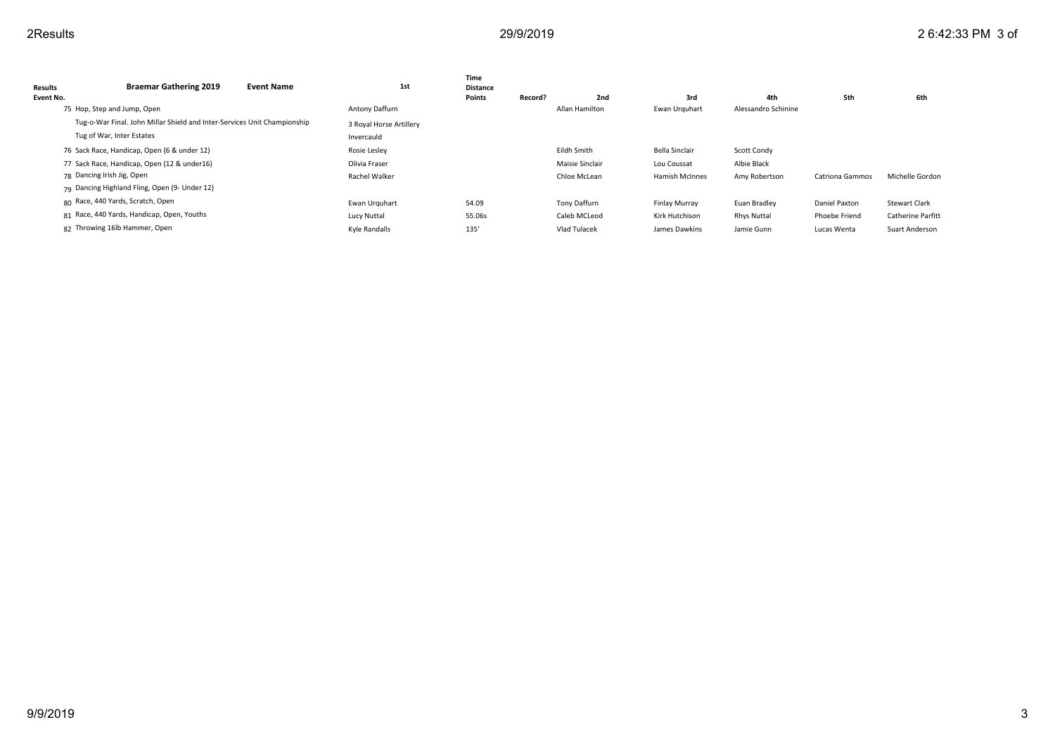| Results<br>Event No. | <b>Event Name</b><br><b>Braemar Gathering 2019</b>                       | 1st                     | Time<br><b>Distance</b><br><b>Points</b> | Record? | 2nd             | 3rd                   | 4th                 | 5th             | 6th                  |
|----------------------|--------------------------------------------------------------------------|-------------------------|------------------------------------------|---------|-----------------|-----------------------|---------------------|-----------------|----------------------|
|                      | 75 Hop, Step and Jump, Open                                              | Antony Daffurn          |                                          |         | Allan Hamilton  | Ewan Urguhart         | Alessandro Schinine |                 |                      |
|                      | Tug-o-War Final. John Millar Shield and Inter-Services Unit Championship | 3 Royal Horse Artillery |                                          |         |                 |                       |                     |                 |                      |
|                      | Tug of War, Inter Estates                                                | Invercauld              |                                          |         |                 |                       |                     |                 |                      |
|                      | 76 Sack Race, Handicap, Open (6 & under 12)                              | Rosie Lesley            |                                          |         | Eildh Smith     | Bella Sinclair        | Scott Condy         |                 |                      |
|                      | 77 Sack Race, Handicap, Open (12 & under16)                              | Olivia Fraser           |                                          |         | Maisie Sinclair | Lou Coussat           | Albie Black         |                 |                      |
|                      | 78 Dancing Irish Jig, Open                                               | Rachel Walker           |                                          |         | Chloe McLean    | <b>Hamish McInnes</b> | Amy Robertson       | Catriona Gammos | Michelle Gordon      |
|                      | 79 Dancing Highland Fling, Open (9- Under 12)                            |                         |                                          |         |                 |                       |                     |                 |                      |
|                      | 80 Race, 440 Yards, Scratch, Open                                        | Ewan Urguhart           | 54.09                                    |         | Tony Daffurn    | Finlay Murray         | Euan Bradley        | Daniel Paxton   | <b>Stewart Clark</b> |
|                      | 81 Race, 440 Yards, Handicap, Open, Youths                               | Lucy Nuttal             | 55.06s                                   |         | Caleb MCLeod    | Kirk Hutchison        | <b>Rhys Nuttal</b>  | Phoebe Friend   | Catherine Parfitt    |
|                      | 82 Throwing 16lb Hammer, Open                                            | Kyle Randalls           | 135                                      |         | Vlad Tulacek    | James Dawkins         | Jamie Gunn          | Lucas Wenta     | Suart Anderson       |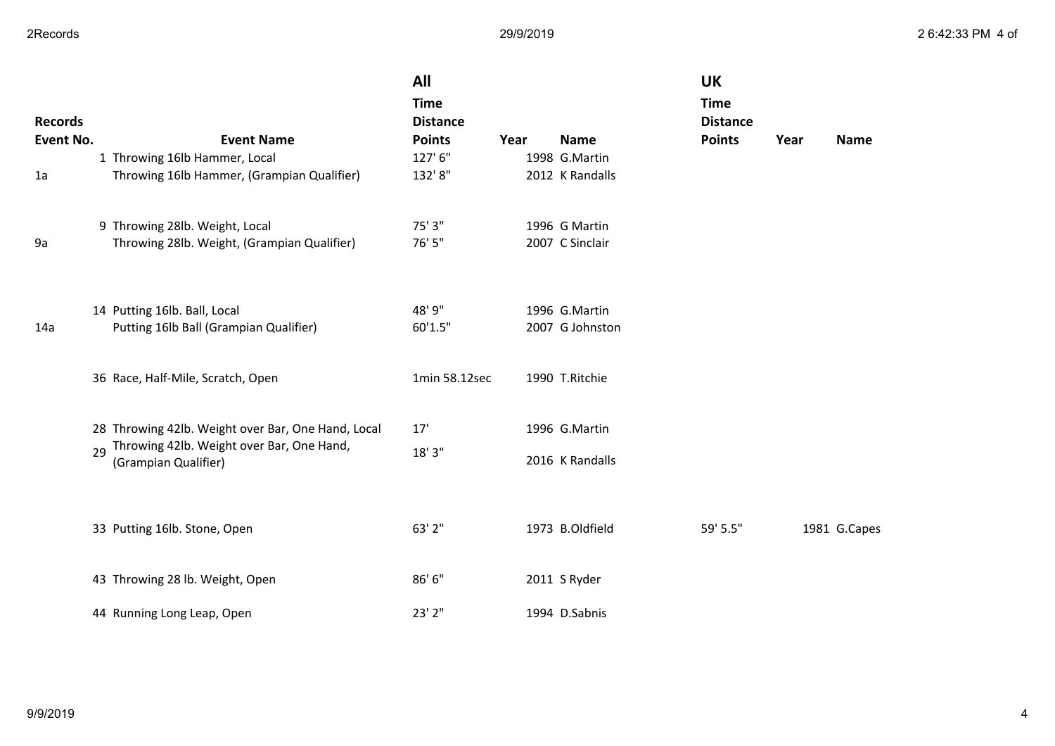|                |    |                                                                   | All             |      |                 | <b>UK</b>       |      |              |  |
|----------------|----|-------------------------------------------------------------------|-----------------|------|-----------------|-----------------|------|--------------|--|
|                |    |                                                                   | <b>Time</b>     |      |                 | <b>Time</b>     |      |              |  |
| <b>Records</b> |    |                                                                   | <b>Distance</b> |      |                 | <b>Distance</b> |      |              |  |
| Event No.      |    | <b>Event Name</b>                                                 | <b>Points</b>   | Year | <b>Name</b>     | <b>Points</b>   | Year | <b>Name</b>  |  |
|                |    | 1 Throwing 16lb Hammer, Local                                     | 127'6"          |      | 1998 G.Martin   |                 |      |              |  |
| 1a             |    | Throwing 16lb Hammer, (Grampian Qualifier)                        | 132'8"          |      | 2012 K Randalls |                 |      |              |  |
|                |    | 9 Throwing 28lb. Weight, Local                                    | 75' 3"          |      | 1996 G Martin   |                 |      |              |  |
| 9a             |    | Throwing 28lb. Weight, (Grampian Qualifier)                       | 76' 5"          |      | 2007 C Sinclair |                 |      |              |  |
|                |    |                                                                   |                 |      |                 |                 |      |              |  |
|                |    | 14 Putting 16lb. Ball, Local                                      | 48' 9"          |      | 1996 G.Martin   |                 |      |              |  |
| 14a            |    | Putting 16lb Ball (Grampian Qualifier)                            | 60'1.5"         |      | 2007 G Johnston |                 |      |              |  |
|                |    | 36 Race, Half-Mile, Scratch, Open                                 | 1min 58.12sec   |      | 1990 T.Ritchie  |                 |      |              |  |
|                |    | 28 Throwing 42lb. Weight over Bar, One Hand, Local                | 17'             |      | 1996 G.Martin   |                 |      |              |  |
|                | 29 | Throwing 42lb. Weight over Bar, One Hand,<br>(Grampian Qualifier) | 18' 3"          |      | 2016 K Randalls |                 |      |              |  |
|                |    |                                                                   |                 |      |                 |                 |      |              |  |
|                |    | 33 Putting 16lb. Stone, Open                                      | 63' 2"          |      | 1973 B.Oldfield | 59' 5.5"        |      | 1981 G.Capes |  |
|                |    | 43 Throwing 28 lb. Weight, Open                                   | 86' 6"          |      | 2011 S Ryder    |                 |      |              |  |
|                |    | 44 Running Long Leap, Open                                        | 23' 2"          |      | 1994 D.Sabnis   |                 |      |              |  |